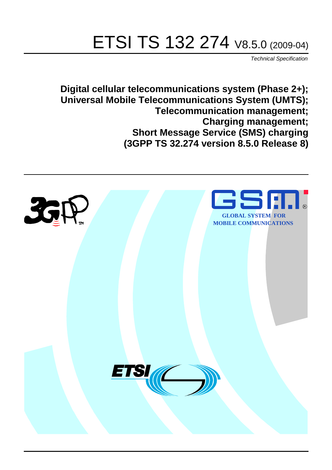# ETSI TS 132 274 V8.5.0 (2009-04)

*Technical Specification*

**Digital cellular telecommunications system (Phase 2+); Universal Mobile Telecommunications System (UMTS); Telecommunication management; Charging management; Short Message Service (SMS) charging (3GPP TS 32.274 version 8.5.0 Release 8)**

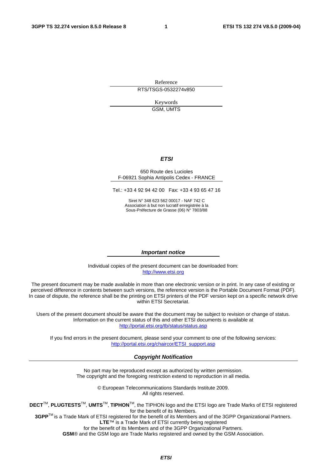Reference RTS/TSGS-0532274v850

> Keywords GSM, UMTS

#### *ETSI*

#### 650 Route des Lucioles F-06921 Sophia Antipolis Cedex - FRANCE

Tel.: +33 4 92 94 42 00 Fax: +33 4 93 65 47 16

Siret N° 348 623 562 00017 - NAF 742 C Association à but non lucratif enregistrée à la Sous-Préfecture de Grasse (06) N° 7803/88

#### *Important notice*

Individual copies of the present document can be downloaded from: [http://www.etsi.org](http://www.etsi.org/)

The present document may be made available in more than one electronic version or in print. In any case of existing or perceived difference in contents between such versions, the reference version is the Portable Document Format (PDF). In case of dispute, the reference shall be the printing on ETSI printers of the PDF version kept on a specific network drive within ETSI Secretariat.

Users of the present document should be aware that the document may be subject to revision or change of status. Information on the current status of this and other ETSI documents is available at <http://portal.etsi.org/tb/status/status.asp>

If you find errors in the present document, please send your comment to one of the following services: [http://portal.etsi.org/chaircor/ETSI\\_support.asp](http://portal.etsi.org/chaircor/ETSI_support.asp)

#### *Copyright Notification*

No part may be reproduced except as authorized by written permission. The copyright and the foregoing restriction extend to reproduction in all media.

> © European Telecommunications Standards Institute 2009. All rights reserved.

**DECT**TM, **PLUGTESTS**TM, **UMTS**TM, **TIPHON**TM, the TIPHON logo and the ETSI logo are Trade Marks of ETSI registered for the benefit of its Members.

**3GPP**TM is a Trade Mark of ETSI registered for the benefit of its Members and of the 3GPP Organizational Partners. **LTE**™ is a Trade Mark of ETSI currently being registered

for the benefit of its Members and of the 3GPP Organizational Partners.

**GSM**® and the GSM logo are Trade Marks registered and owned by the GSM Association.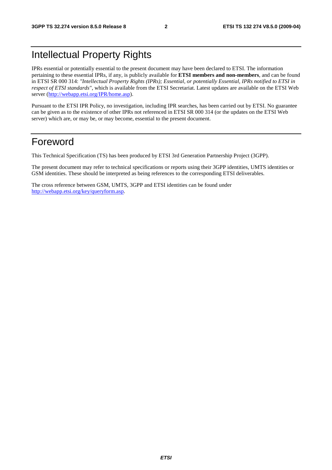## Intellectual Property Rights

IPRs essential or potentially essential to the present document may have been declared to ETSI. The information pertaining to these essential IPRs, if any, is publicly available for **ETSI members and non-members**, and can be found in ETSI SR 000 314: *"Intellectual Property Rights (IPRs); Essential, or potentially Essential, IPRs notified to ETSI in respect of ETSI standards"*, which is available from the ETSI Secretariat. Latest updates are available on the ETSI Web server ([http://webapp.etsi.org/IPR/home.asp\)](http://webapp.etsi.org/IPR/home.asp).

Pursuant to the ETSI IPR Policy, no investigation, including IPR searches, has been carried out by ETSI. No guarantee can be given as to the existence of other IPRs not referenced in ETSI SR 000 314 (or the updates on the ETSI Web server) which are, or may be, or may become, essential to the present document.

## Foreword

This Technical Specification (TS) has been produced by ETSI 3rd Generation Partnership Project (3GPP).

The present document may refer to technical specifications or reports using their 3GPP identities, UMTS identities or GSM identities. These should be interpreted as being references to the corresponding ETSI deliverables.

The cross reference between GSM, UMTS, 3GPP and ETSI identities can be found under [http://webapp.etsi.org/key/queryform.asp.](http://webapp.etsi.org/key/queryform.asp)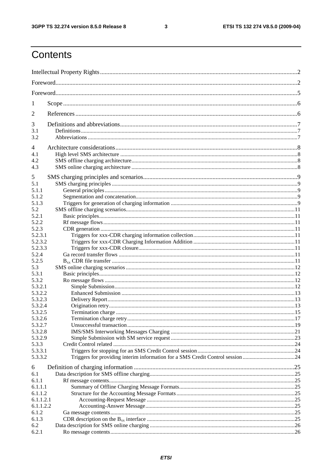$\mathbf{3}$ 

## Contents

| 1                  |                                                                                |  |  |  |  |
|--------------------|--------------------------------------------------------------------------------|--|--|--|--|
| 2                  |                                                                                |  |  |  |  |
| 3                  |                                                                                |  |  |  |  |
| 3.1                |                                                                                |  |  |  |  |
| 3.2                |                                                                                |  |  |  |  |
| 4                  |                                                                                |  |  |  |  |
| 4.1                |                                                                                |  |  |  |  |
| 4.2                |                                                                                |  |  |  |  |
| 4.3                |                                                                                |  |  |  |  |
| 5                  |                                                                                |  |  |  |  |
| 5.1                |                                                                                |  |  |  |  |
| 5.1.1              |                                                                                |  |  |  |  |
| 5.1.2              |                                                                                |  |  |  |  |
| 5.1.3              |                                                                                |  |  |  |  |
| 5.2                |                                                                                |  |  |  |  |
| 5.2.1              |                                                                                |  |  |  |  |
| 5.2.2              |                                                                                |  |  |  |  |
| 5.2.3              |                                                                                |  |  |  |  |
| 5.2.3.1            |                                                                                |  |  |  |  |
| 5.2.3.2<br>5.2.3.3 |                                                                                |  |  |  |  |
| 5.2.4              |                                                                                |  |  |  |  |
| 5.2.5              |                                                                                |  |  |  |  |
| 5.3                |                                                                                |  |  |  |  |
| 5.3.1              |                                                                                |  |  |  |  |
| 5.3.2              |                                                                                |  |  |  |  |
| 5.3.2.1            |                                                                                |  |  |  |  |
| 5.3.2.2            |                                                                                |  |  |  |  |
| 5.3.2.3            |                                                                                |  |  |  |  |
| 5.3.2.4            |                                                                                |  |  |  |  |
| 5.3.2.5            |                                                                                |  |  |  |  |
| 5.3.2.6            |                                                                                |  |  |  |  |
| 5.3.2.7<br>5.3.2.8 |                                                                                |  |  |  |  |
| 5.3.2.9            |                                                                                |  |  |  |  |
| 5.3.3              |                                                                                |  |  |  |  |
| 5.3.3.1            |                                                                                |  |  |  |  |
| 5.3.3.2            | Triggers for providing interim information for a SMS Credit Control session 24 |  |  |  |  |
| 6                  |                                                                                |  |  |  |  |
| 6.1                |                                                                                |  |  |  |  |
| 6.1.1              |                                                                                |  |  |  |  |
| 6.1.1.1            |                                                                                |  |  |  |  |
| 6.1.1.2            |                                                                                |  |  |  |  |
| 6.1.1.2.1          |                                                                                |  |  |  |  |
| 6.1.1.2.2          |                                                                                |  |  |  |  |
| 6.1.2              |                                                                                |  |  |  |  |
| 6.1.3<br>6.2       |                                                                                |  |  |  |  |
| 6.2.1              |                                                                                |  |  |  |  |
|                    |                                                                                |  |  |  |  |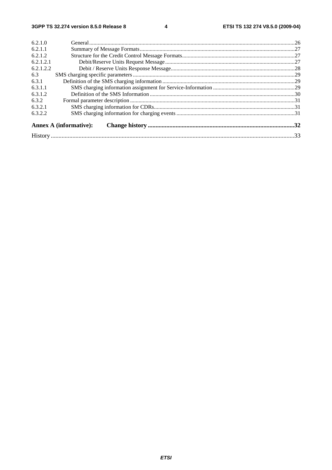$\overline{\mathbf{4}}$ 

| 6.2.1.1<br>6.2.1.2<br>6.2.1.2.1<br>6.2.1.2.2<br>6.3<br>6.3.1<br>6.3.1.1<br>6.3.1.2<br>6.3.2<br>6.3.2.1<br>6.3.2.2<br><b>Annex A (informative):</b> | 6.2.1.0 |  |  |  |  |  |
|----------------------------------------------------------------------------------------------------------------------------------------------------|---------|--|--|--|--|--|
|                                                                                                                                                    |         |  |  |  |  |  |
|                                                                                                                                                    |         |  |  |  |  |  |
|                                                                                                                                                    |         |  |  |  |  |  |
|                                                                                                                                                    |         |  |  |  |  |  |
|                                                                                                                                                    |         |  |  |  |  |  |
|                                                                                                                                                    |         |  |  |  |  |  |
|                                                                                                                                                    |         |  |  |  |  |  |
|                                                                                                                                                    |         |  |  |  |  |  |
|                                                                                                                                                    |         |  |  |  |  |  |
|                                                                                                                                                    |         |  |  |  |  |  |
|                                                                                                                                                    |         |  |  |  |  |  |
|                                                                                                                                                    |         |  |  |  |  |  |
|                                                                                                                                                    |         |  |  |  |  |  |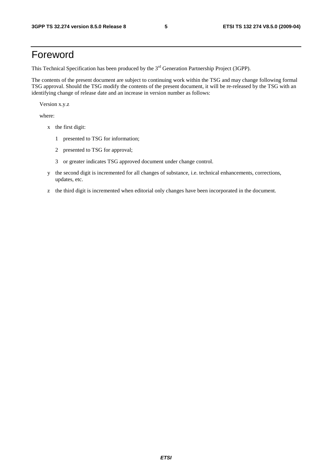## Foreword

This Technical Specification has been produced by the 3<sup>rd</sup> Generation Partnership Project (3GPP).

The contents of the present document are subject to continuing work within the TSG and may change following formal TSG approval. Should the TSG modify the contents of the present document, it will be re-released by the TSG with an identifying change of release date and an increase in version number as follows:

Version x.y.z

where:

- x the first digit:
	- 1 presented to TSG for information;
	- 2 presented to TSG for approval;
	- 3 or greater indicates TSG approved document under change control.
- y the second digit is incremented for all changes of substance, i.e. technical enhancements, corrections, updates, etc.
- z the third digit is incremented when editorial only changes have been incorporated in the document.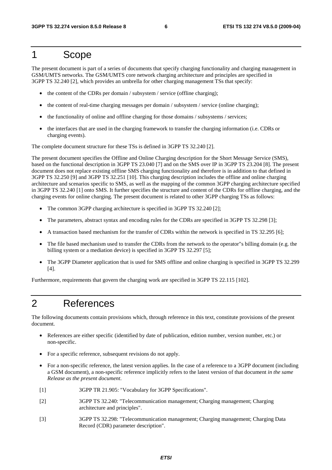## 1 Scope

The present document is part of a series of documents that specify charging functionality and charging management in GSM/UMTS networks. The GSM/UMTS core network charging architecture and principles are specified in 3GPP TS 32.240 [2], which provides an umbrella for other charging management TSs that specify:

- the content of the CDRs per domain / subsystem / service (offline charging);
- the content of real-time charging messages per domain / subsystem / service (online charging);
- the functionality of online and offline charging for those domains / subsystems / services;
- the interfaces that are used in the charging framework to transfer the charging information (i.e. CDRs or charging events).

The complete document structure for these TSs is defined in 3GPP TS 32.240 [2].

The present document specifies the Offline and Online Charging description for the Short Message Service (SMS), based on the functional description in 3GPP TS 23.040 [7] and on the SMS over IP in 3GPP TS 23.204 [8]. The present document does not replace existing offline SMS charging functionality and therefore is in addition to that defined in 3GPP TS 32.250 [9] and 3GPP TS 32.251 [10]. This charging description includes the offline and online charging architecture and scenarios specific to SMS, as well as the mapping of the common 3GPP charging architecture specified in 3GPP TS 32.240 [1] onto SMS. It further specifies the structure and content of the CDRs for offline charging, and the charging events for online charging. The present document is related to other 3GPP charging TSs as follows:

- The common 3GPP charging architecture is specified in 3GPP TS 32.240 [2];
- The parameters, abstract syntax and encoding rules for the CDRs are specified in 3GPP TS 32.298 [3];
- A transaction based mechanism for the transfer of CDRs within the network is specified in TS 32.295 [6];
- The file based mechanism used to transfer the CDRs from the network to the operator"s billing domain (e.g. the billing system or a mediation device) is specified in 3GPP TS 32.297 [5];
- The 3GPP Diameter application that is used for SMS offline and online charging is specified in 3GPP TS 32.299 [4].

Furthermore, requirements that govern the charging work are specified in 3GPP TS 22.115 [102].

## 2 References

The following documents contain provisions which, through reference in this text, constitute provisions of the present document.

- References are either specific (identified by date of publication, edition number, version number, etc.) or non-specific.
- For a specific reference, subsequent revisions do not apply.
- For a non-specific reference, the latest version applies. In the case of a reference to a 3GPP document (including a GSM document), a non-specific reference implicitly refers to the latest version of that document *in the same Release as the present document*.
- [1] 3GPP TR 21.905: "Vocabulary for 3GPP Specifications".
- [2] 3GPP TS 32.240: "Telecommunication management; Charging management; Charging architecture and principles".
- [3] 3GPP TS 32.298: "Telecommunication management; Charging management; Charging Data Record (CDR) parameter description".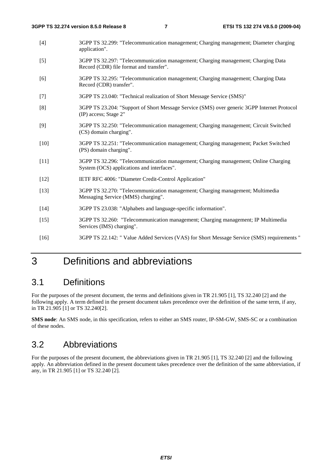- [4] 3GPP TS 32.299: "Telecommunication management; Charging management; Diameter charging application".
- [5] 3GPP TS 32.297: "Telecommunication management; Charging management; Charging Data Record (CDR) file format and transfer".
- [6] 3GPP TS 32.295: "Telecommunication management; Charging management; Charging Data Record (CDR) transfer".
- [7] 3GPP TS 23.040: "Technical realization of Short Message Service (SMS)"
- [8] 3GPP TS 23.204: "Support of Short Message Service (SMS) over generic 3GPP Internet Protocol (IP) access; Stage 2"
- [9] 3GPP TS 32.250: "Telecommunication management; Charging management; Circuit Switched (CS) domain charging".
- [10] 3GPP TS 32.251: "Telecommunication management; Charging management; Packet Switched (PS) domain charging".
- [11] 3GPP TS 32.296: "Telecommunication management; Charging management; Online Charging System (OCS) applications and interfaces".
- [12] IETF RFC 4006: "Diameter Credit-Control Application"
- [13] 3GPP TS 32.270: "Telecommunication management; Charging management; Multimedia Messaging Service (MMS) charging".
- [14] 3GPP TS 23.038: "Alphabets and language-specific information".
- [15] 3GPP TS 32.260: "Telecommunication management; Charging management; IP Multimedia Services (IMS) charging".
- [16] 3GPP TS 22.142: " Value Added Services (VAS) for Short Message Service (SMS) requirements "

## 3 Definitions and abbreviations

## 3.1 Definitions

For the purposes of the present document, the terms and definitions given in TR 21.905 [1], TS 32.240 [2] and the following apply. A term defined in the present document takes precedence over the definition of the same term, if any, in TR 21.905 [1] or TS 32.240[2].

**SMS node**: An SMS node, in this specification, refers to either an SMS router, IP-SM-GW, SMS-SC or a combination of these nodes.

## 3.2 Abbreviations

For the purposes of the present document, the abbreviations given in TR 21.905 [1], TS 32.240 [2] and the following apply. An abbreviation defined in the present document takes precedence over the definition of the same abbreviation, if any, in TR 21.905 [1] or TS 32.240 [2].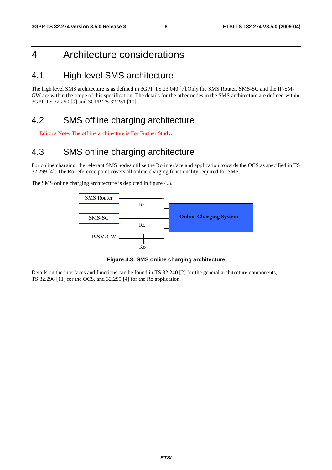## 4 Architecture considerations

## 4.1 High level SMS architecture

The high level SMS architecture is as defined in 3GPP TS 23.040 [7].Only the SMS Router, SMS-SC and the IP-SM-GW are within the scope of this specification. The details for the other nodes in the SMS architecture are defined within 3GPP TS 32.250 [9] and 3GPP TS 32.251 [10].

## 4.2 SMS offline charging architecture

Editor's Note: The offline architecture is For Further Study.

## 4.3 SMS online charging architecture

For online charging, the relevant SMS nodes utilise the Ro interface and application towards the OCS as specified in TS 32.299 [4]. The Ro reference point covers all online charging functionality required for SMS.

The SMS online charging architecture is depicted in figure 4.3.



**Figure 4.3: SMS online charging architecture** 

Details on the interfaces and functions can be found in TS 32.240 [2] for the general architecture components, TS 32.296 [11] for the OCS, and 32.299 [4] for the Ro application.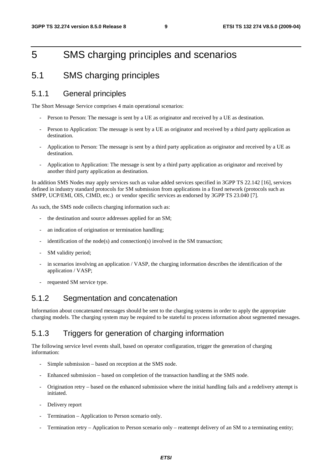## 5 SMS charging principles and scenarios

## 5.1 SMS charging principles

### 5.1.1 General principles

The Short Message Service comprises 4 main operational scenarios:

- Person to Person: The message is sent by a UE as originator and received by a UE as destination.
- Person to Application: The message is sent by a UE as originator and received by a third party application as destination.
- Application to Person: The message is sent by a third party application as originator and received by a UE as destination.
- Application to Application: The message is sent by a third party application as originator and received by another third party application as destination.

In addition SMS Nodes may apply services such as value added services specified in 3GPP TS 22.142 [16], services defined in industry standard protocols for SM submission from applications in a fixed network (protocols such as SMPP, UCP/EMI, OIS, CIMD, etc.) or vendor specific services as endorsed by 3GPP TS 23.040 [7].

As such, the SMS node collects charging information such as:

- the destination and source addresses applied for an SM;
- an indication of origination or termination handling;
- $i$ dentification of the node(s) and connection(s) involved in the SM transaction;
- SM validity period;
- in scenarios involving an application / VASP, the charging information describes the identification of the application / VASP;
- requested SM service type.

## 5.1.2 Segmentation and concatenation

Information about concatenated messages should be sent to the charging systems in order to apply the appropriate charging models. The charging system may be required to be stateful to process information about segmented messages.

### 5.1.3 Triggers for generation of charging information

The following service level events shall, based on operator configuration, trigger the generation of charging information:

- Simple submission based on reception at the SMS node.
- Enhanced submission based on completion of the transaction handling at the SMS node.
- Origination retry based on the enhanced submission where the initial handling fails and a redelivery attempt is initiated.
- Delivery report
- Termination Application to Person scenario only.
- Termination retry Application to Person scenario only reattempt delivery of an SM to a terminating entity;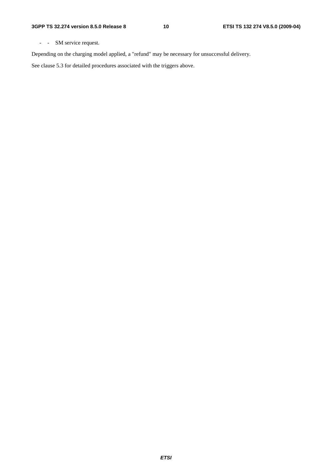- - SM service request.

Depending on the charging model applied, a "refund" may be necessary for unsuccessful delivery.

See clause 5.3 for detailed procedures associated with the triggers above.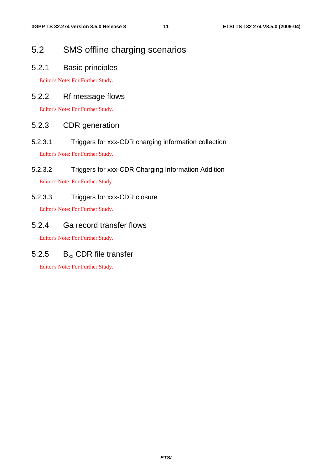## 5.2 SMS offline charging scenarios

5.2.1 Basic principles

Editor's Note: For Further Study.

### 5.2.2 Rf message flows

Editor's Note: For Further Study.

### 5.2.3 CDR generation

5.2.3.1 Triggers for xxx-CDR charging information collection

Editor's Note: For Further Study.

5.2.3.2 Triggers for xxx-CDR Charging Information Addition Editor's Note: For Further Study.

5.2.3.3 Triggers for xxx-CDR closure

Editor's Note: For Further Study.

### 5.2.4 Ga record transfer flows

Editor's Note: For Further Study.

## 5.2.5  $B_{xx}$  CDR file transfer

Editor's Note: For Further Study.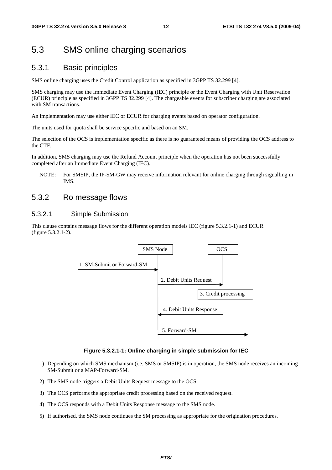## 5.3 SMS online charging scenarios

### 5.3.1 Basic principles

SMS online charging uses the Credit Control application as specified in 3GPP TS 32.299 [4].

SMS charging may use the Immediate Event Charging (IEC) principle or the Event Charging with Unit Reservation (ECUR) principle as specified in 3GPP TS 32.299 [4]. The chargeable events for subscriber charging are associated with SM transactions.

An implementation may use either IEC or ECUR for charging events based on operator configuration.

The units used for quota shall be service specific and based on an SM.

The selection of the OCS is implementation specific as there is no guaranteed means of providing the OCS address to the CTF.

In addition, SMS charging may use the Refund Account principle when the operation has not been successfully completed after an Immediate Event Charging (IEC).

NOTE: For SMSIP, the IP-SM-GW may receive information relevant for online charging through signalling in IMS.

### 5.3.2 Ro message flows

#### 5.3.2.1 Simple Submission

This clause contains message flows for the different operation models IEC (figure 5.3.2.1-1) and ECUR (figure 5.3.2.1-2).



#### **Figure 5.3.2.1-1: Online charging in simple submission for IEC**

- 1) Depending on which SMS mechanism (i.e. SMS or SMSIP) is in operation, the SMS node receives an incoming SM-Submit or a MAP-Forward-SM.
- 2) The SMS node triggers a Debit Units Request message to the OCS.
- 3) The OCS performs the appropriate credit processing based on the received request.
- 4) The OCS responds with a Debit Units Response message to the SMS node.
- 5) If authorised, the SMS node continues the SM processing as appropriate for the origination procedures.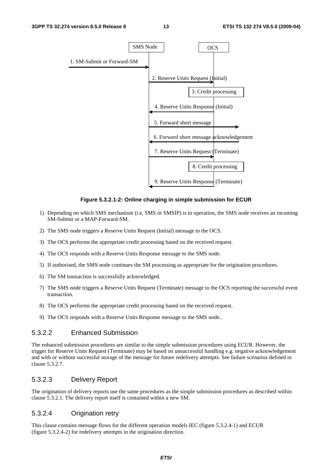

#### **Figure 5.3.2.1-2: Online charging in simple submission for ECUR**

- 1) Depending on which SMS mechanism (i.e. SMS or SMSIP) is in operation, the SMS node receives an incoming SM-Submit or a MAP-Forward-SM.
- 2) The SMS node triggers a Reserve Units Request (Initial) message to the OCS.
- 3) The OCS performs the appropriate credit processing based on the received request.
- 4) The OCS responds with a Reserve Units Response message to the SMS node.
- 5) If authorised, the SMS node continues the SM processing as appropriate for the origination procedures.
- 6) The SM transaction is successfully acknowledged.
- 7) The SMS node triggers a Reserve Units Request (Terminate) message to the OCS reporting the successful event transaction.
- 8) The OCS performs the appropriate credit processing based on the received request.
- 9) The OCS responds with a Reserve Units Response message to the SMS node..

#### 5.3.2.2 Enhanced Submission

The enhanced submission procedures are similar to the simple submission procedures using ECUR. However, the trigger for Reserve Units Request (Terminate) may be based on unsuccessful handling e.g. negative acknowledgement and with or without successful storage of the message for future redelivery attempts. See failure scenarios defined in clause 5.3.2.7.

### 5.3.2.3 Delivery Report

The origination of delivery reports use the same procedures as the simple submission procedures as described within clause 5.3.2.1. The delivery report itself is contained within a new SM.

#### 5.3.2.4 Origination retry

This clause contains message flows for the different operation models IEC (figure 5.3.2.4-1) and ECUR (figure 5.3.2.4-2) for redelivery attempts in the origination direction.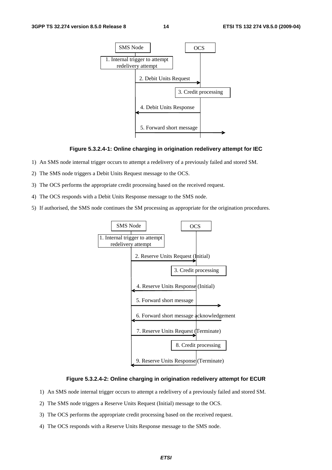

#### **Figure 5.3.2.4-1: Online charging in origination redelivery attempt for IEC**

- 1) An SMS node internal trigger occurs to attempt a redelivery of a previously failed and stored SM.
- 2) The SMS node triggers a Debit Units Request message to the OCS.
- 3) The OCS performs the appropriate credit processing based on the received request.
- 4) The OCS responds with a Debit Units Response message to the SMS node.
- 5) If authorised, the SMS node continues the SM processing as appropriate for the origination procedures.



#### **Figure 5.3.2.4-2: Online charging in origination redelivery attempt for ECUR**

- 1) An SMS node internal trigger occurs to attempt a redelivery of a previously failed and stored SM.
- 2) The SMS node triggers a Reserve Units Request (Initial) message to the OCS.
- 3) The OCS performs the appropriate credit processing based on the received request.
- 4) The OCS responds with a Reserve Units Response message to the SMS node.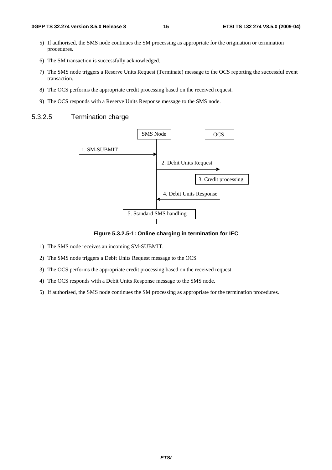- 5) If authorised, the SMS node continues the SM processing as appropriate for the origination or termination procedures.
- 6) The SM transaction is successfully acknowledged.
- 7) The SMS node triggers a Reserve Units Request (Terminate) message to the OCS reporting the successful event transaction.
- 8) The OCS performs the appropriate credit processing based on the received request.
- 9) The OCS responds with a Reserve Units Response message to the SMS node.

#### 5.3.2.5 Termination charge



#### **Figure 5.3.2.5-1: Online charging in termination for IEC**

- 1) The SMS node receives an incoming SM-SUBMIT.
- 2) The SMS node triggers a Debit Units Request message to the OCS.
- 3) The OCS performs the appropriate credit processing based on the received request.
- 4) The OCS responds with a Debit Units Response message to the SMS node.
- 5) If authorised, the SMS node continues the SM processing as appropriate for the termination procedures.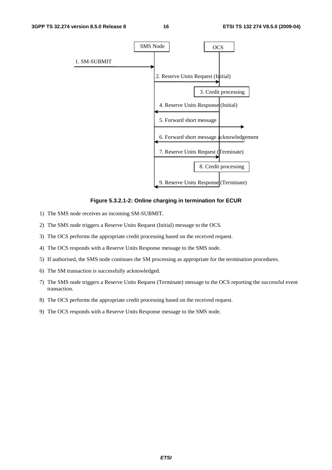

**Figure 5.3.2.1-2: Online charging in termination for ECUR** 

- 1) The SMS node receives an incoming SM-SUBMIT.
- 2) The SMS node triggers a Reserve Units Request (Initial) message to the OCS.
- 3) The OCS performs the appropriate credit processing based on the received request.
- 4) The OCS responds with a Reserve Units Response message to the SMS node.
- 5) If authorised, the SMS node continues the SM processing as appropriate for the termination procedures.
- 6) The SM transaction is successfully acknowledged.
- 7) The SMS node triggers a Reserve Units Request (Terminate) message to the OCS reporting the successful event transaction.
- 8) The OCS performs the appropriate credit processing based on the received request.
- 9) The OCS responds with a Reserve Units Response message to the SMS node.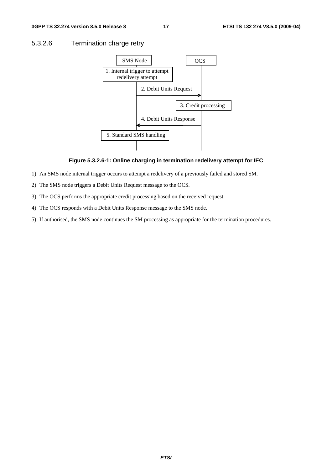#### 5.3.2.6 Termination charge retry



#### **Figure 5.3.2.6-1: Online charging in termination redelivery attempt for IEC**

- 1) An SMS node internal trigger occurs to attempt a redelivery of a previously failed and stored SM.
- 2) The SMS node triggers a Debit Units Request message to the OCS.
- 3) The OCS performs the appropriate credit processing based on the received request.
- 4) The OCS responds with a Debit Units Response message to the SMS node.
- 5) If authorised, the SMS node continues the SM processing as appropriate for the termination procedures.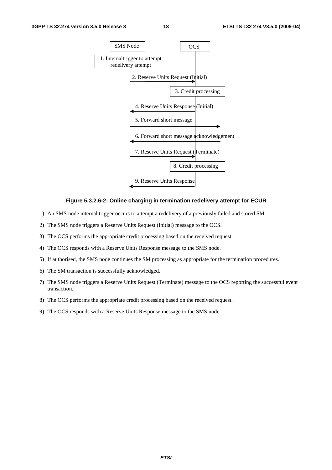

#### **Figure 5.3.2.6-2: Online charging in termination redelivery attempt for ECUR**

- 1) An SMS node internal trigger occurs to attempt a redelivery of a previously failed and stored SM.
- 2) The SMS node triggers a Reserve Units Request (Initial) message to the OCS.
- 3) The OCS performs the appropriate credit processing based on the received request.
- 4) The OCS responds with a Reserve Units Response message to the SMS node.
- 5) If authorised, the SMS node continues the SM processing as appropriate for the termination procedures.
- 6) The SM transaction is successfully acknowledged.
- 7) The SMS node triggers a Reserve Units Request (Terminate) message to the OCS reporting the successful event transaction.
- 8) The OCS performs the appropriate credit processing based on the received request.
- 9) The OCS responds with a Reserve Units Response message to the SMS node.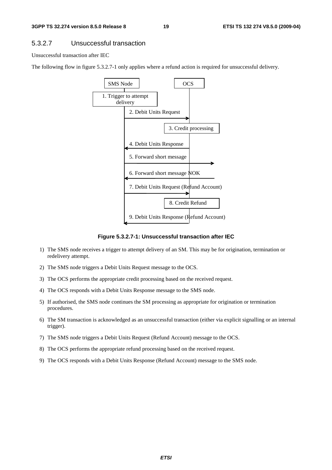#### 5.3.2.7 Unsuccessful transaction

Unsuccessful transaction after IEC

The following flow in figure 5.3.2.7-1 only applies where a refund action is required for unsuccessful delivery.



**Figure 5.3.2.7-1: Unsuccessful transaction after IEC** 

- 1) The SMS node receives a trigger to attempt delivery of an SM. This may be for origination, termination or redelivery attempt.
- 2) The SMS node triggers a Debit Units Request message to the OCS.
- 3) The OCS performs the appropriate credit processing based on the received request.
- 4) The OCS responds with a Debit Units Response message to the SMS node.
- 5) If authorised, the SMS node continues the SM processing as appropriate for origination or termination procedures.
- 6) The SM transaction is acknowledged as an unsuccessful transaction (either via explicit signalling or an internal trigger).
- 7) The SMS node triggers a Debit Units Request (Refund Account) message to the OCS.
- 8) The OCS performs the appropriate refund processing based on the received request.
- 9) The OCS responds with a Debit Units Response (Refund Account) message to the SMS node.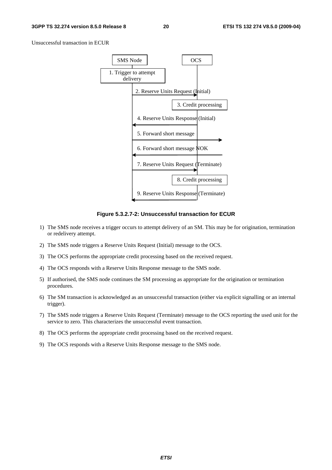Unsuccessful transaction in ECUR



**Figure 5.3.2.7-2: Unsuccessful transaction for ECUR** 

- 1) The SMS node receives a trigger occurs to attempt delivery of an SM. This may be for origination, termination or redelivery attempt.
- 2) The SMS node triggers a Reserve Units Request (Initial) message to the OCS.
- 3) The OCS performs the appropriate credit processing based on the received request.
- 4) The OCS responds with a Reserve Units Response message to the SMS node.
- 5) If authorised, the SMS node continues the SM processing as appropriate for the origination or termination procedures.
- 6) The SM transaction is acknowledged as an unsuccessful transaction (either via explicit signalling or an internal trigger).
- 7) The SMS node triggers a Reserve Units Request (Terminate) message to the OCS reporting the used unit for the service to zero. This characterizes the unsuccessful event transaction.
- 8) The OCS performs the appropriate credit processing based on the received request.
- 9) The OCS responds with a Reserve Units Response message to the SMS node.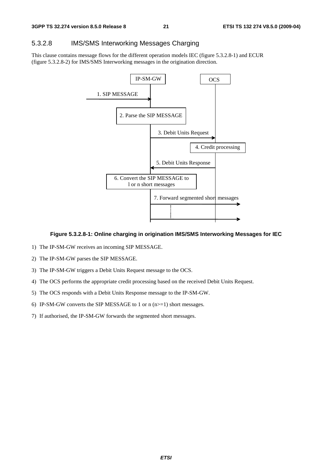### 5.3.2.8 IMS/SMS Interworking Messages Charging

This clause contains message flows for the different operation models IEC (figure 5.3.2.8-1) and ECUR (figure 5.3.2.8-2) for IMS/SMS Interworking messages in the origination direction.



#### **Figure 5.3.2.8-1: Online charging in origination IMS/SMS Interworking Messages for IEC**

- 1) The IP-SM-GW receives an incoming SIP MESSAGE.
- 2) The IP-SM-GW parses the SIP MESSAGE.
- 3) The IP-SM-GW triggers a Debit Units Request message to the OCS.
- 4) The OCS performs the appropriate credit processing based on the received Debit Units Request.
- 5) The OCS responds with a Debit Units Response message to the IP-SM-GW.
- 6) IP-SM-GW converts the SIP MESSAGE to 1 or  $n (n>=1)$  short messages.
- 7) If authorised, the IP-SM-GW forwards the segmented short messages.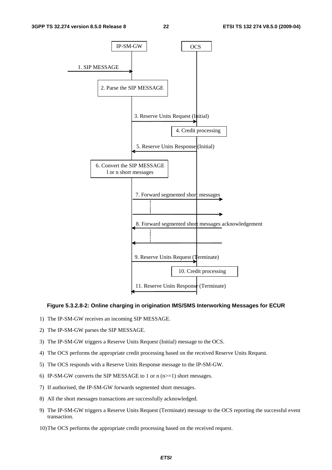

#### **Figure 5.3.2.8-2: Online charging in origination IMS/SMS Interworking Messages for ECUR**

- 1) The IP-SM-GW receives an incoming SIP MESSAGE.
- 2) The IP-SM-GW parses the SIP MESSAGE.
- 3) The IP-SM-GW triggers a Reserve Units Request (Initial) message to the OCS.
- 4) The OCS performs the appropriate credit processing based on the received Reserve Units Request.
- 5) The OCS responds with a Reserve Units Response message to the IP-SM-GW.
- 6) IP-SM-GW converts the SIP MESSAGE to 1 or  $n(n>=1)$  short messages.
- 7) If authorised, the IP-SM-GW forwards segmented short messages.
- 8) All the short messages transactions are successfully acknowledged.
- 9) The IP-SM-GW triggers a Reserve Units Request (Terminate) message to the OCS reporting the successful event transaction.
- 10) The OCS performs the appropriate credit processing based on the received request.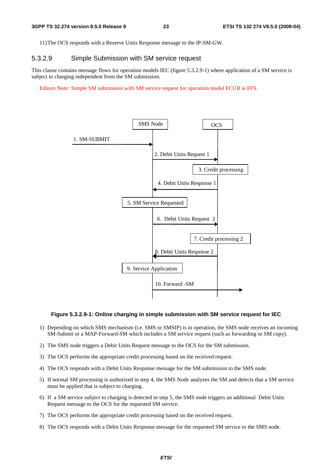11) The OCS responds with a Reserve Units Response message to the IP-SM-GW.

### 5.3.2.9 Simple Submission with SM service request

This clause contains message flows for operation models IEC (figure 5.3.2.9-1) where application of a SM service is subject to charging independent from the SM submission.

Editors Note: Simple SM submission with SM service request for operation model ECUR is FFS.



#### **Figure 5.3.2.9-1: Online charging in simple submission with SM service request for IEC**

- 1) Depending on which SMS mechanism (i.e. SMS or SMSIP) is in operation, the SMS node receives an incoming SM-Submit or a MAP-Forward-SM which includes a SM service request (such as forwarding or SM copy).
- 2) The SMS node triggers a Debit Units Request message to the OCS for the SM submission.
- 3) The OCS performs the appropriate credit processing based on the received request.
- 4) The OCS responds with a Debit Units Response message for the SM submission to the SMS node.
- 5) If normal SM processing is authorized in step 4, the SMS Node analyzes the SM and detects that a SM service must be applied that is subject to charging.
- 6) If a SM service subject to charging is detected in step 5, the SMS node triggers an additional Debit Units Request message to the OCS for the requested SM service.
- 7) The OCS performs the appropriate credit processing based on the received request.
- 8) The OCS responds with a Debit Units Response message for the requested SM service to the SMS node.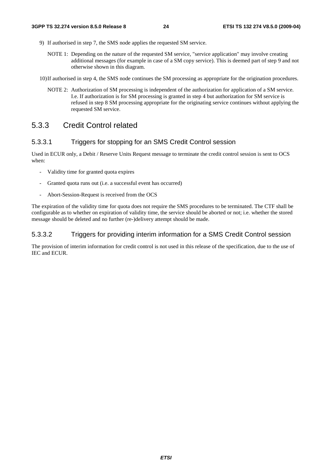- 9) If authorised in step 7, the SMS node applies the requested SM service.
	- NOTE 1: Depending on the nature of the requested SM service, "service application" may involve creating additional messages (for example in case of a SM copy service). This is deemed part of step 9 and not otherwise shown in this diagram.

10) If authorised in step 4, the SMS node continues the SM processing as appropriate for the origination procedures.

NOTE 2: Authorization of SM processing is independent of the authorization for application of a SM service. I.e. If authorization is for SM processing is granted in step 4 but authorization for SM service is refused in step 8 SM processing appropriate for the originating service continues without applying the requested SM service.

## 5.3.3 Credit Control related

### 5.3.3.1 Triggers for stopping for an SMS Credit Control session

Used in ECUR only, a Debit / Reserve Units Request message to terminate the credit control session is sent to OCS when:

- Validity time for granted quota expires
- Granted quota runs out (i.e. a successful event has occurred)
- Abort-Session-Request is received from the OCS

The expiration of the validity time for quota does not require the SMS procedures to be terminated. The CTF shall be configurable as to whether on expiration of validity time, the service should be aborted or not; i.e. whether the stored message should be deleted and no further (re-)delivery attempt should be made.

### 5.3.3.2 Triggers for providing interim information for a SMS Credit Control session

The provision of interim information for credit control is not used in this release of the specification, due to the use of IEC and ECUR.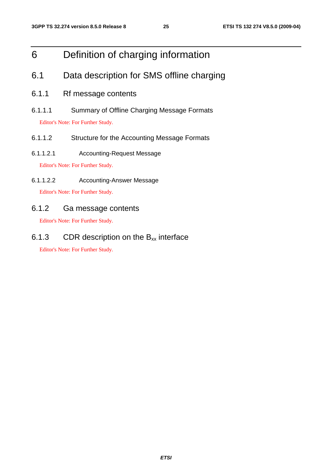## 6 Definition of charging information

## 6.1 Data description for SMS offline charging

- 6.1.1 Rf message contents
- 6.1.1.1 Summary of Offline Charging Message Formats

Editor's Note: For Further Study.

- 6.1.1.2 Structure for the Accounting Message Formats
- 6.1.1.2.1 Accounting-Request Message

Editor's Note: For Further Study.

6.1.1.2.2 Accounting-Answer Message

Editor's Note: For Further Study.

### 6.1.2 Ga message contents

Editor's Note: For Further Study.

6.1.3 CDR description on the  $B_{xx}$  interface

Editor's Note: For Further Study.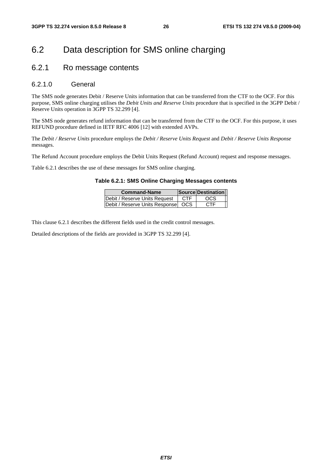## 6.2 Data description for SMS online charging

### 6.2.1 Ro message contents

#### 6.2.1.0 General

The SMS node generates Debit / Reserve Units information that can be transferred from the CTF to the OCF. For this purpose, SMS online charging utilises the *Debit Units and Reserve Units* procedure that is specified in the 3GPP Debit / Reserve Units operation in 3GPP TS 32.299 [4].

The SMS node generates refund information that can be transferred from the CTF to the OCF. For this purpose, it uses REFUND procedure defined in IETF RFC 4006 [12] with extended AVPs.

The *Debit / Reserve Units* procedure employs the *Debit / Reserve Units Request* and *Debit / Reserve Units Response* messages.

The Refund Account procedure employs the Debit Units Request (Refund Account) request and response messages.

Table 6.2.1 describes the use of these messages for SMS online charging.

#### **Table 6.2.1: SMS Online Charging Messages contents**

| <b>Command-Name</b>                  |     | Source Destination |
|--------------------------------------|-----|--------------------|
| Debit / Reserve Units Request        | CTF | <b>OCS</b>         |
| Debit / Reserve Units Response   OCS |     | CTF                |

This clause 6.2.1 describes the different fields used in the credit control messages.

Detailed descriptions of the fields are provided in 3GPP TS 32.299 [4].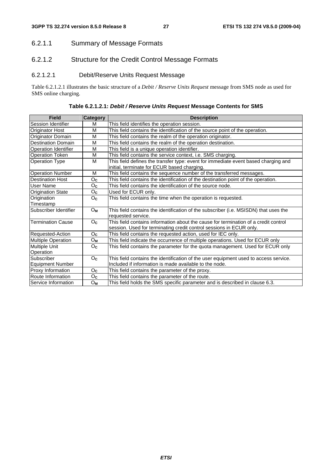### 6.2.1.1 Summary of Message Formats

## 6.2.1.2 Structure for the Credit Control Message Formats

### 6.2.1.2.1 Debit/Reserve Units Request Message

Table 6.2.1.2.1 illustrates the basic structure of a *Debit / Reserve Units Request* message from SMS node as used for SMS online charging.

| <b>Field</b>              | Category         | <b>Description</b>                                                                                                                                         |
|---------------------------|------------------|------------------------------------------------------------------------------------------------------------------------------------------------------------|
| <b>Session Identifier</b> | м                | This field identifies the operation session.                                                                                                               |
| <b>Originator Host</b>    | M                | This field contains the identification of the source point of the operation.                                                                               |
| Originator Domain         | M                | This field contains the realm of the operation originator.                                                                                                 |
| <b>Destination Domain</b> | M                | This field contains the realm of the operation destination.                                                                                                |
| Operation Identifier      | M                | This field is a unique operation identifier.                                                                                                               |
| <b>Operation Token</b>    | M                | This field contains the service context, i.e. SMS charging.                                                                                                |
| <b>Operation Type</b>     | M                | This field defines the transfer type: event for immediate event based charging and<br>initial, terminate for ECUR based charging.                          |
| <b>Operation Number</b>   | M                | This field contains the sequence number of the transferred messages.                                                                                       |
| <b>Destination Host</b>   | Oc               | This field contains the identification of the destination point of the operation.                                                                          |
| User Name                 | O <sub>c</sub>   | This field contains the identification of the source node.                                                                                                 |
| <b>Origination State</b>  | Oc               | Used for ECUR only.                                                                                                                                        |
| Origination               | $O_{\mathbf{C}}$ | This field contains the time when the operation is requested.                                                                                              |
| Timestamp                 |                  |                                                                                                                                                            |
| Subscriber Identifier     | Oм               | This field contains the identification of the subscriber (i.e. MSISDN) that uses the<br>requested service.                                                 |
| Termination Cause         | O <sub>c</sub>   | This field contains information about the cause for termination of a credit control<br>session. Used for terminating credit control sessions in ECUR only. |
| Requested-Action          | $O_{\mathbf{C}}$ | This field contains the requested action, used for IEC only.                                                                                               |
| Multiple Operation        | Oм               | This field indicate the occurrence of multiple operations. Used for ECUR only                                                                              |
| <b>Multiple Unit</b>      | $O_{\mathbf{C}}$ | This field contains the parameter for the quota management. Used for ECUR only                                                                             |
| Operation                 |                  |                                                                                                                                                            |
| Subscriber                | $O_{\mathbf{C}}$ | This field contains the identification of the user equipment used to access service.                                                                       |
| <b>Equipment Number</b>   |                  | Included if information is made available to the node.                                                                                                     |
| Proxy Information         | Oc               | This field contains the parameter of the proxy.                                                                                                            |
| Route Information         | $O_{\mathbf{C}}$ | This field contains the parameter of the route.                                                                                                            |
| Service Information       | Oм               | This field holds the SMS specific parameter and is described in clause 6.3.                                                                                |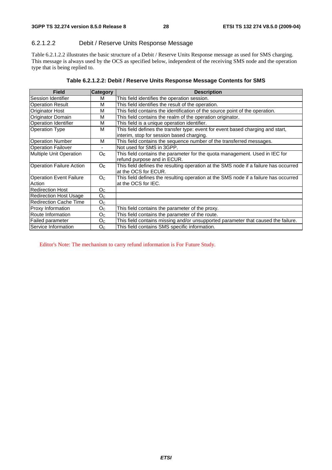#### 6.2.1.2.2 Debit / Reserve Units Response Message

Table 6.2.1.2.2 illustrates the basic structure of a Debit / Reserve Units Response message as used for SMS charging. This message is always used by the OCS as specified below, independent of the receiving SMS node and the operation type that is being replied to.

| <b>Field</b>                             | Category       | <b>Description</b>                                                                                                           |
|------------------------------------------|----------------|------------------------------------------------------------------------------------------------------------------------------|
| lSession Identifier                      | м              | This field identifies the operation session.                                                                                 |
| <b>Operation Result</b>                  | М              | This field identifies the result of the operation.                                                                           |
| Originator Host                          | М              | This field contains the identification of the source point of the operation.                                                 |
| <b>Originator Domain</b>                 | м              | This field contains the realm of the operation originator.                                                                   |
| <b>Operation Identifier</b>              | М              | This field is a unique operation identifier.                                                                                 |
| <b>Operation Type</b>                    | М              | This field defines the transfer type: event for event based charging and start,<br>interim, stop for session based charging. |
| <b>Operation Number</b>                  | м              | This field contains the sequence number of the transferred messages.                                                         |
| <b>Operation Failover</b>                |                | Not used for SMS in 3GPP.                                                                                                    |
| Multiple Unit Operation                  | O <sub>c</sub> | This field contains the parameter for the quota management. Used in IEC for<br>refund purpose and in ECUR.                   |
| <b>Operation Failure Action</b>          | O <sub>c</sub> | This field defines the resulting operation at the SMS node if a failure has occurred<br>at the OCS for ECUR.                 |
| <b>Operation Event Failure</b><br>Action | O <sub>C</sub> | This field defines the resulting operation at the SMS node if a failure has occurred<br>at the OCS for IEC.                  |
| <b>Redirection Host</b>                  | O <sub>C</sub> |                                                                                                                              |
| <b>Redirection Host Usage</b>            | O <sub>C</sub> |                                                                                                                              |
| <b>Redirection Cache Time</b>            | $O_{\rm C}$    |                                                                                                                              |
| Proxy Information                        | O <sub>C</sub> | This field contains the parameter of the proxy.                                                                              |
| Route Information                        | O <sub>C</sub> | This field contains the parameter of the route.                                                                              |
| <b>Failed parameter</b>                  | O <sub>C</sub> | This field contains missing and/or unsupported parameter that caused the failure.                                            |
| Service Information                      | O <sub>C</sub> | This field contains SMS specific information.                                                                                |

Editor's Note: The mechanism to carry refund information is For Future Study.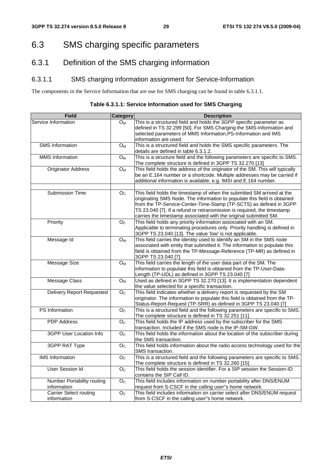## 6.3 SMS charging specific parameters

## 6.3.1 Definition of the SMS charging information

### 6.3.1.1 SMS charging information assignment for Service-Information

The components in the Service Information that are use for SMS charging can be found in table 6.3.1.1.

**Table 6.3.1.1: Service Information used for SMS Charging** 

| <b>Field</b>                      | <b>Category</b>    | <b>Description</b>                                                                                                                                                                                                                                                                                                                                                      |
|-----------------------------------|--------------------|-------------------------------------------------------------------------------------------------------------------------------------------------------------------------------------------------------------------------------------------------------------------------------------------------------------------------------------------------------------------------|
| Service Information               | O <sub>M</sub>     | This is a structured field and holds the 3GPP specific parameter as<br>defined in TS 32.299 [50]. For SMS Charging the SMS-Information and<br>selected parameters of MMS Information, PS-Information and IMS                                                                                                                                                            |
|                                   |                    | information are used.                                                                                                                                                                                                                                                                                                                                                   |
| <b>SMS</b> Information            | O <sub>M</sub>     | This is a structured field and holds the SMS specific parameters. The<br>details are defined in table 6.3.1.2.                                                                                                                                                                                                                                                          |
| <b>MMS</b> Information            | $O_M$              | This is a structure field and the following parameters are specific to SMS.<br>The complete structure is defined in 3GPP TS 32.270 [13]                                                                                                                                                                                                                                 |
| <b>Originator Address</b>         | $\overline{O}_{M}$ | This field holds the address of the originator of the SM. This will typically<br>be an E.164 number or a shortcode. Multiple addresses may be carried if<br>additional information is available, e.g. IMSI and E.164 number.                                                                                                                                            |
|                                   |                    |                                                                                                                                                                                                                                                                                                                                                                         |
| <b>Submission Time</b>            | O <sub>C</sub>     | This field holds the timestamp of when the submitted SM arrived at the<br>originating SMS Node. The information to populate this field is obtained<br>from the TP-Service-Center-Time-Stamp (TP-SCTS) as defined in 3GPP<br>TS 23.040 [7]. If a refund or retransmission is required, the timestamp<br>carries the timestamp associated with the original submitted SM. |
| Priority                          | O <sub>C</sub>     | This field holds any priority information associated with an SM.<br>Applicable to terminating procedures only. Priority handling is defined in<br>3GPP TS 23.040 [13]. The value 'low' is not applicable.                                                                                                                                                               |
| Message Id                        | $\overline{O_M}$   | This field carries the identity used to identify an SM in the SMS node<br>associated with entity that submitted it. The information to populate this<br>field is obtained from the TP-Message-Reference (TP-MR) as defined in<br>3GPP TS 23.040 [7].                                                                                                                    |
| <b>Message Size</b>               | $O_M$              | This field carries the length of the user data part of the SM. The<br>information to populate this field is obtained from the TP-User-Data-<br>Length (TP-UDL) as defined in 3GPP TS 23.040 [7]                                                                                                                                                                         |
| Message Class                     | $O_M$              | Used as defined in 3GPP TS 32.270 [13]. It is implementation dependent<br>the value selected for a specific transaction.                                                                                                                                                                                                                                                |
| <b>Delivery Report Requested</b>  | $\overline{O}_C$   | This field indicates whether a delivery report is requested by the SM<br>originator. The information to populate this field is obtained from the TP-<br>Status-Report-Request (TP-SRR) as defined in 3GPP TS 23.040 [7]                                                                                                                                                 |
| PS Information                    | $\overline{O_{C}}$ | This is a structured field and the following parameters are specific to SMS.<br>The complete structure is defined in TS 32.251 [11].                                                                                                                                                                                                                                    |
| <b>PDP</b> Address                | $\overline{O}_C$   | This field holds the IP address used by the subscriber for the SMS<br>transaction. Included if the SMS node is the IP-SM-GW.                                                                                                                                                                                                                                            |
| 3GPP User Location Info           | O <sub>C</sub>     | This field holds the information about the location of the subscriber during<br>the SMS transaction.                                                                                                                                                                                                                                                                    |
| 3GPP RAT Type                     | O <sub>C</sub>     | This field holds information about the radio access technology used for the<br>SMS transaction.                                                                                                                                                                                                                                                                         |
| <b>IMS</b> Information            | $\overline{O}_C$   | This is a structured field and the following parameters are specific to SMS.<br>The complete structure is defined in TS 32.260 [15].                                                                                                                                                                                                                                    |
| <b>User Session Id</b>            | $\overline{O_{C}}$ | This field holds the session identifier. For a SIP session the Session-ID<br>contains the SIP Call ID.                                                                                                                                                                                                                                                                  |
| <b>Number Portability routing</b> | $\overline{O}_C$   | This field includes information on number portability after DNS/ENUM                                                                                                                                                                                                                                                                                                    |
| information                       |                    | request from S-CSCF in the calling user"s home network.                                                                                                                                                                                                                                                                                                                 |
| <b>Carrier Select routing</b>     | O <sub>C</sub>     | This field includes information on carrier select after DNS/ENUM request                                                                                                                                                                                                                                                                                                |
| information                       |                    | from S-CSCF in the calling user"s home network.                                                                                                                                                                                                                                                                                                                         |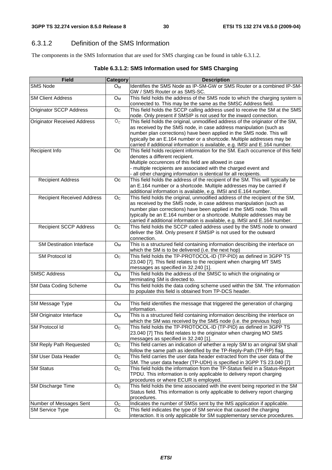## 6.3.1.2 Definition of the SMS Information

The components in the SMS Information that are used for SMS charging can be found in table 6.3.1.2.

| Table 6.3.1.2: SMS Information used for SMS Charging |  |
|------------------------------------------------------|--|
|------------------------------------------------------|--|

| <b>Field</b>                       | <b>Category</b>           | <b>Description</b>                                                                                                                         |
|------------------------------------|---------------------------|--------------------------------------------------------------------------------------------------------------------------------------------|
| SMS Node                           | $O_M$                     | Identifies the SMS Node as IP-SM-GW or SMS Router or a combined IP-SM-                                                                     |
|                                    |                           | GW / SMS Router or as SMS-SC.                                                                                                              |
| <b>SM Client Address</b>           | $O_M$                     | This field holds the address of the SMS node to which the charging system is                                                               |
|                                    |                           | connected to. This may be the same as the SMSC Address field.                                                                              |
| <b>Originator SCCP Address</b>     | O <sub>C</sub>            | This field holds the SCCP calling address used to receive the SM at the SMS                                                                |
|                                    |                           | node. Only present if SMSIP is not used for the inward connection.                                                                         |
| <b>Originator Received Address</b> | $O_{C}$                   | This field holds the original, unmodified address of the originator of the SM,                                                             |
|                                    |                           | as received by the SMS node, in case address manipulation (such as                                                                         |
|                                    |                           | number plan corrections) have been applied in the SMS node. This will                                                                      |
|                                    |                           | typically be an E.164 number or a shortcode. Multiple addresses may be                                                                     |
|                                    |                           | carried if additional information is available, e.g. IMSI and E.164 number.                                                                |
| Recipient Info                     | Oc                        | This field holds recipient information for the SM. Each occurrence of this field                                                           |
|                                    |                           | denotes a different recipient.                                                                                                             |
|                                    |                           | Multiple occurences of this field are allowed in case                                                                                      |
|                                    |                           | - multiple recipients are associated with the charged event and                                                                            |
|                                    |                           | all other charging information is identical for all recipients.                                                                            |
| <b>Recipient Address</b>           | Оc                        | This field holds the address of the recipient of the SM. This will typically be                                                            |
|                                    |                           | an E.164 number or a shortcode. Multiple addresses may be carried if                                                                       |
|                                    |                           | additional information is available, e.g. IMSI and E.164 number.                                                                           |
| <b>Recipient Received Address</b>  | O <sub>C</sub>            | This field holds the original, unmodified address of the recipient of the SM,                                                              |
|                                    |                           | as received by the SMS node, in case address manipulation (such as                                                                         |
|                                    |                           | number plan corrections) have been applied in the SMS node. This will                                                                      |
|                                    |                           | typically be an E.164 number or a shortcode. Multiple addresses may be                                                                     |
|                                    |                           | carried if additional information is available, e.g. IMSI and E.164 number.                                                                |
| <b>Recipient SCCP Address</b>      | O <sub>c</sub>            | This field holds the SCCP called address used by the SMS node to onward                                                                    |
|                                    |                           | deliver the SM. Only present if SMSIP is not used for the outward                                                                          |
|                                    |                           | connection.                                                                                                                                |
| <b>SM Destination Interface</b>    | Oм                        | This is a structured field containing information describing the interface on                                                              |
|                                    |                           | which the SM is to be delivered (i.e. the next hop)                                                                                        |
| SM Protocol Id                     | O <sub>C</sub>            | This field holds the TP-PROTOCOL-ID (TP-PID) as defined in 3GPP TS                                                                         |
|                                    |                           | 23.040 [7]. This field relates to the recipient when charging MT SMS                                                                       |
|                                    |                           | messages as specified in 32.240 [1].                                                                                                       |
| <b>SMSC Address</b>                | $O_M$                     | This field holds the address of the SMSC to which the originating or                                                                       |
|                                    |                           | terminating SM is directed to.                                                                                                             |
| SM Data Coding Scheme              | ${\mathsf O}_{\mathsf M}$ | This field holds the data coding scheme used within the SM. The information                                                                |
|                                    |                           | to populate this field is obtained from TP-DCS header.                                                                                     |
|                                    |                           |                                                                                                                                            |
| SM Message Type                    | $O_M$                     | This field identifies the message that triggered the generation of charging                                                                |
|                                    |                           | information.                                                                                                                               |
| SM Originator Interface            | ${\mathsf O}_{\mathsf M}$ | This is a structured field containing information describing the interface on                                                              |
|                                    |                           | which the SM was received by the SMS node (i.e. the previous hop)                                                                          |
| SM Protocol Id                     | O <sub>C</sub>            | This field holds the TP-PROTOCOL-ID (TP-PID) as defined in 3GPP TS<br>23.040 [7] This field relates to the originator when charging MO SMS |
|                                    |                           | messages as specified in 32.240 [1].                                                                                                       |
| <b>SM Reply Path Requested</b>     | O <sub>C</sub>            | This field carries an indication of whether a reply SM to an original SM shall                                                             |
|                                    |                           | follow the same path as identified by the TP-Reply-Path (TP-RP) flag.                                                                      |
| <b>SM User Data Header</b>         | O <sub>C</sub>            | This field carries the user data header extracted from the user data of the                                                                |
|                                    |                           | SM. The user data header (TP-UDH) is specified in 3GPP TS 23.040 [7]                                                                       |
| <b>SM Status</b>                   | O <sub>C</sub>            | This field holds the information from the TP-Status field in a Status-Report                                                               |
|                                    |                           | TPDU. This information is only applicable to delivery report charging                                                                      |
|                                    |                           | procedures or where ECUR is employed.                                                                                                      |
| <b>SM Discharge Time</b>           | O <sub>C</sub>            | This field holds the time associated with the event being reported in the SM                                                               |
|                                    |                           | Status field. This information is only applicable to delivery report charging                                                              |
|                                    |                           | procedures.                                                                                                                                |
| Number of Messages Sent            | O <sub>C</sub>            | Indicates the number of SMSs sent by the IMS application if applicable.                                                                    |
| <b>SM Service Type</b>             | O <sub>C</sub>            | This field indicates the type of SM service that caused the charging                                                                       |
|                                    |                           | interaction. It is only applicable for SM supplementary service procedures.                                                                |
|                                    |                           |                                                                                                                                            |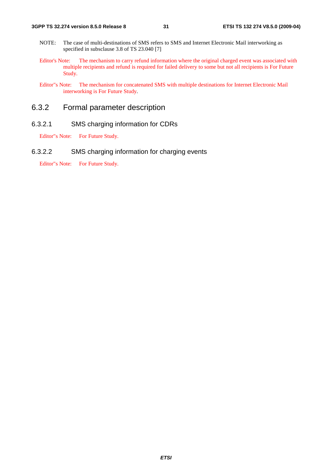- NOTE: The case of multi-destinations of SMS refers to SMS and Internet Electronic Mail interworking as specified in subsclause 3.8 of TS 23.040 [7]
- Editor's Note: The mechanism to carry refund information where the original charged event was associated with multiple recipients and refund is required for failed delivery to some but not all recipients is For Future Study.
- Editor"s Note: The mechanism for concatenated SMS with multiple destinations for Internet Electronic Mail interworking is For Future Study.

### 6.3.2 Formal parameter description

#### 6.3.2.1 SMS charging information for CDRs

Editor"s Note: For Future Study.

#### 6.3.2.2 SMS charging information for charging events

Editor"s Note: For Future Study.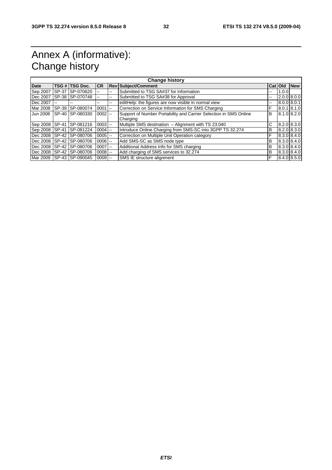## Annex A (informative): Change history

| <b>Change history</b> |                          |                              |            |     |                                                                   |               |       |                          |
|-----------------------|--------------------------|------------------------------|------------|-----|-------------------------------------------------------------------|---------------|-------|--------------------------|
| <b>Date</b>           |                          | TSG # TSG Doc.               | ICR.       |     | <b>Rev Subject/Comment</b>                                        | Cat   Old     |       | <b>New</b>               |
| Sep 2007              | SP-37                    | SP-070620                    |            | --  | Submitted to TSG SA#37 for Information                            | --            | 1.0.0 |                          |
| Dec 2007              |                          | SP-38 SP-070748              |            | --  | Submitted to TSG SA#38 for Approval                               | --            |       | $2.0.0$ 8.0.0            |
| Dec 2007              | $\overline{\phantom{a}}$ | --                           | --         | $-$ | editHelp: the figures are now visible in normal view              | $\sim$ $\sim$ |       | 8.0.0 8.0.1              |
| Mar 2008              | SP-39                    | SP-080074                    | $0001$ --  |     | Correction on Service Information for SMS Charging                | F             |       | 8.0.1 8.1.0              |
| <b>Jun 2008</b>       | SP-40                    | SP-080330                    | $0002$ --  |     | Support of Number Portability and Carrier Selection in SMS Online | B             |       | $8.1.0$ $8.2.0$          |
|                       |                          |                              |            |     | Charging                                                          |               |       |                          |
| Sep 2008 SP-41        |                          | SP-081216                    | $0003$ --  |     | Multiple SMS destination - Alignment with TS 23.040               | С             |       | $\overline{8.2.0}$ 8.3.0 |
| Sep 2008 SP-41        |                          | SP-081224                    | $0004$ --  |     | Introduce Online Charging from SMS-SC into 3GPP TS 32.274         | В             |       | 8.2.0 8.3.0              |
|                       |                          | Dec 2008 ISP-42 ISP-080706   | $0005$ $-$ |     | Correction on Multiple Unit Operation category                    | F             |       | 8.3.0 8.4.0              |
| Dec 2008 SP-42        |                          | SP-080706                    | $0006$ --  |     | Add SMS-SC as SMS node type                                       | B             |       | 8.3.0 8.4.0              |
| Dec 2008 SP-42        |                          | SP-080706                    | $0007$ --  |     | Additional Address Info for SMS charging                          | B             |       | 8.3.0 8.4.0              |
| Dec 2008              |                          | SP-42 SP-080706              | $0008$ --  |     | Add charging of SMS services to 32.274                            | B             |       | 8.3.0 8.4.0              |
|                       |                          | Mar 2009   SP-43   SP-090045 | $0009$ $-$ |     | SMS IE structure alignment                                        | F             |       | 8.4.0 8.5.0              |